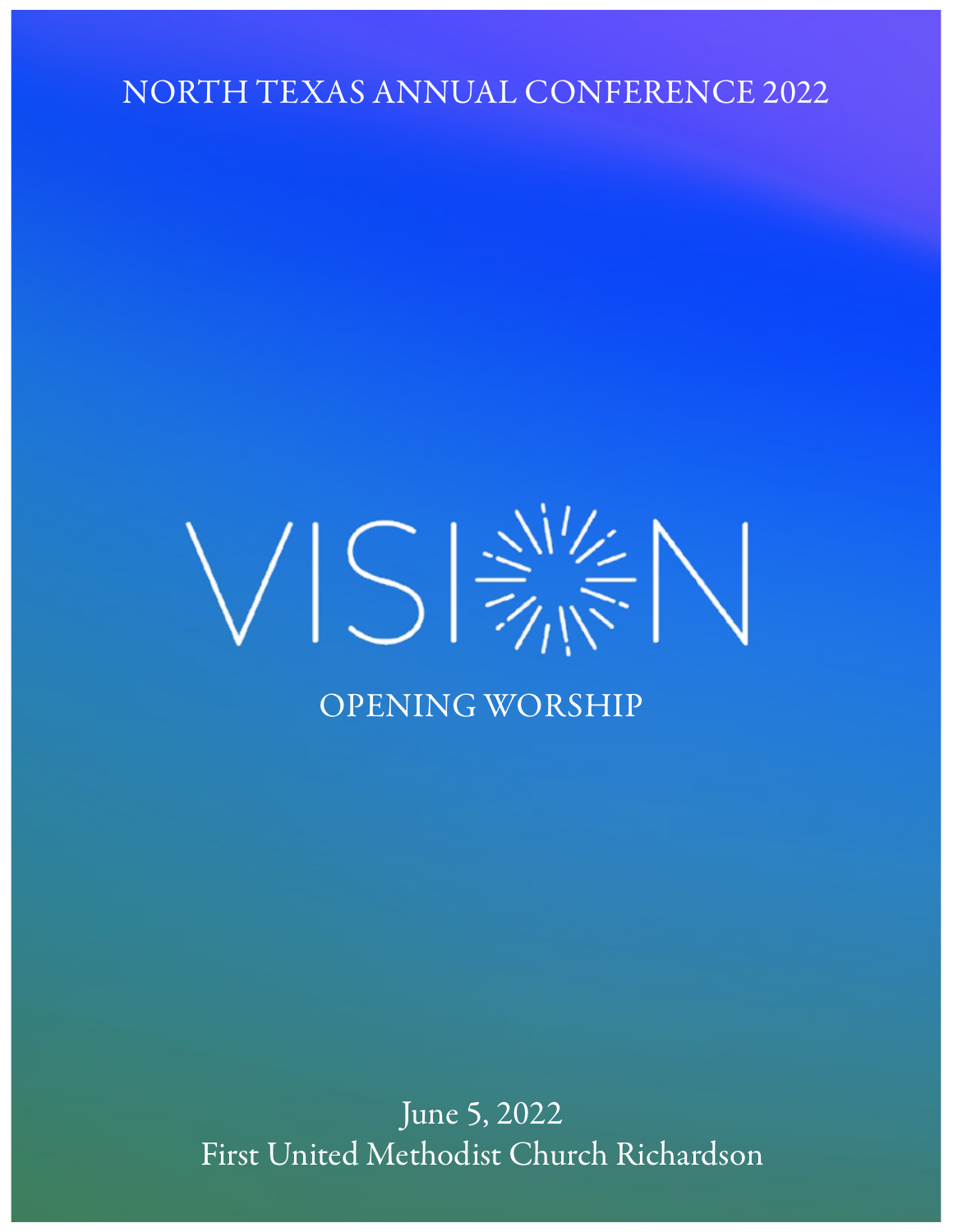NORTH TEXAS ANNUAL CONFERENCE 2022

# $VIS \Rightarrow V$ OPENING WORSHIP

June 5, 2022 First United Methodist Church Richardson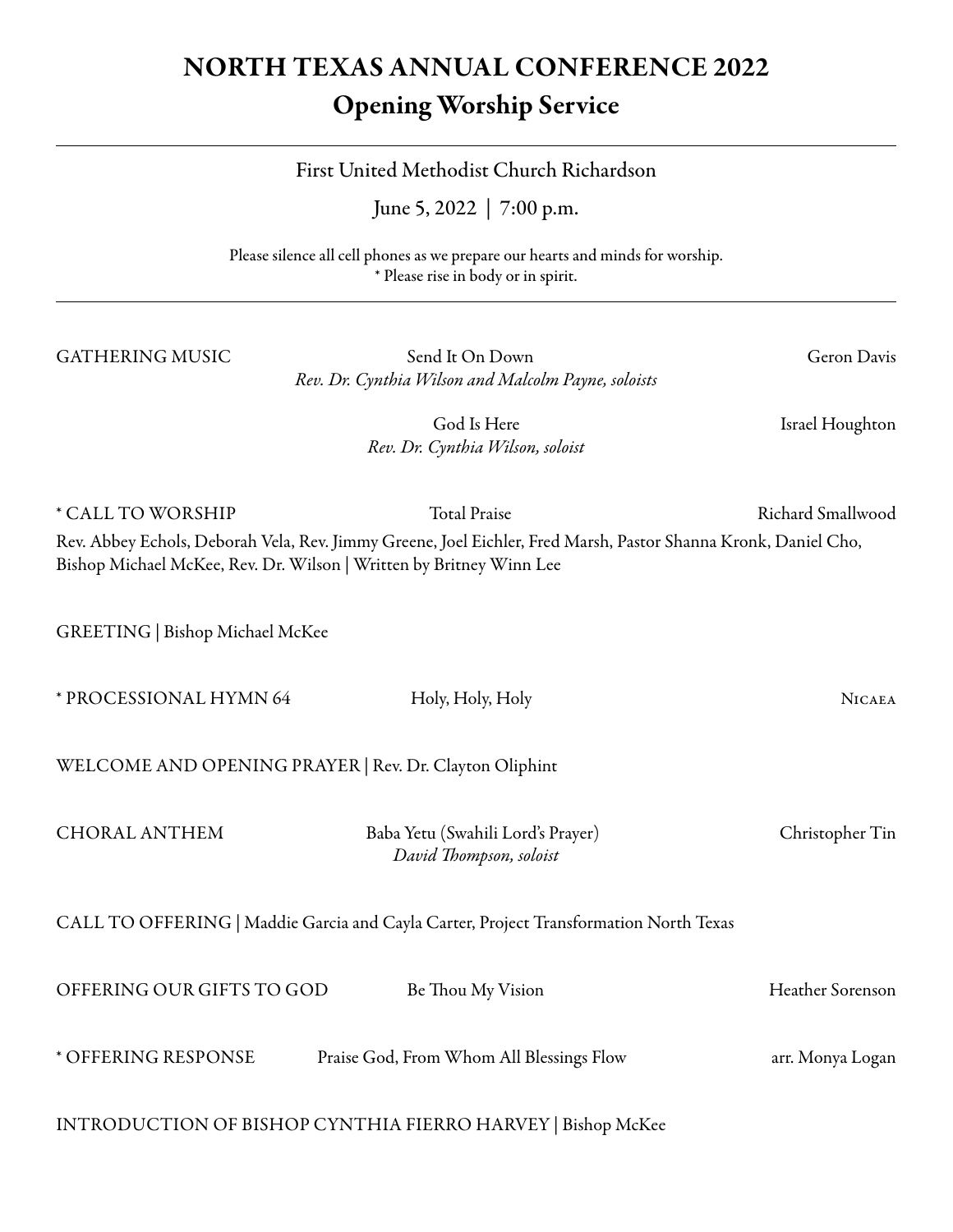# NORTH TEXAS ANNUAL CONFERENCE 2022 Opening Worship Service

## First United Methodist Church Richardson

June 5, 2022 | 7:00 p.m.

Please silence all cell phones as we prepare our hearts and minds for worship. \* Please rise in body or in spirit.

GATHERING MUSIC Send It On Down Geron Davis *Rev. Dr. Cynthia Wilson and Malcolm Payne, soloists*

God Is Here **Israel Houghton** *Rev. Dr. Cynthia Wilson, soloist*

\* CALL TO WORSHIP Total Praise Richard Smallwood Rev. Abbey Echols, Deborah Vela, Rev. Jimmy Greene, Joel Eichler, Fred Marsh, Pastor Shanna Kronk, Daniel Cho, Bishop Michael McKee, Rev. Dr. Wilson | Written by Britney Winn Lee

GREETING | Bishop Michael McKee

| * PROCESSIONAL HYMN 64                                 | Holy, Holy, Holy                                                                      | <b>NICAEA</b>    |
|--------------------------------------------------------|---------------------------------------------------------------------------------------|------------------|
| WELCOME AND OPENING PRAYER   Rev. Dr. Clayton Oliphint |                                                                                       |                  |
| <b>CHORAL ANTHEM</b>                                   | Baba Yetu (Swahili Lord's Prayer)<br>David Thompson, soloist                          | Christopher Tin  |
|                                                        | CALL TO OFFERING   Maddie Garcia and Cayla Carter, Project Transformation North Texas |                  |
| OFFERING OUR GIFTS TO GOD                              | Be Thou My Vision                                                                     | Heather Sorenson |
| * OFFERING RESPONSE                                    | Praise God, From Whom All Blessings Flow                                              | arr. Monya Logan |
|                                                        | INTRODUCTION OF BISHOP CYNTHIA FIERRO HARVEY   Bishop McKee                           |                  |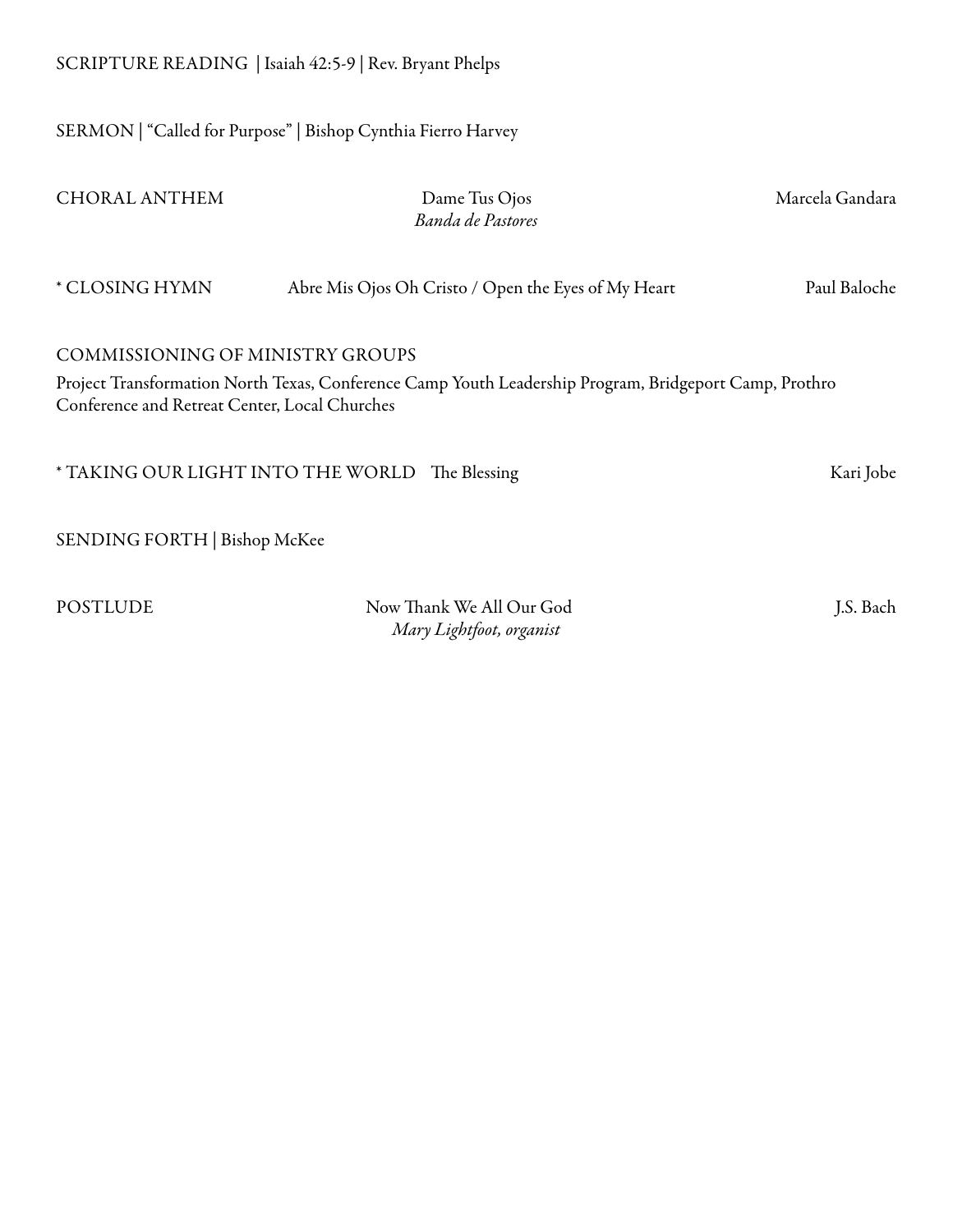SERMON | "Called for Purpose" | Bishop Cynthia Fierro Harvey

| <b>CHORAL ANTHEM</b>                                                                                                                                                                               | Dame Tus Ojos<br>Banda de Pastores                   | Marcela Gandara |  |
|----------------------------------------------------------------------------------------------------------------------------------------------------------------------------------------------------|------------------------------------------------------|-----------------|--|
| * CLOSING HYMN                                                                                                                                                                                     | Abre Mis Ojos Oh Cristo / Open the Eyes of My Heart  | Paul Baloche    |  |
| <b>COMMISSIONING OF MINISTRY GROUPS</b><br>Project Transformation North Texas, Conference Camp Youth Leadership Program, Bridgeport Camp, Prothro<br>Conference and Retreat Center, Local Churches |                                                      |                 |  |
| * TAKING OUR LIGHT INTO THE WORLD                                                                                                                                                                  | The Blessing                                         | Kari Jobe       |  |
| SENDING FORTH   Bishop McKee                                                                                                                                                                       |                                                      |                 |  |
| <b>POSTLUDE</b>                                                                                                                                                                                    | Now Thank We All Our God<br>Mary Lightfoot, organist | J.S. Bach       |  |